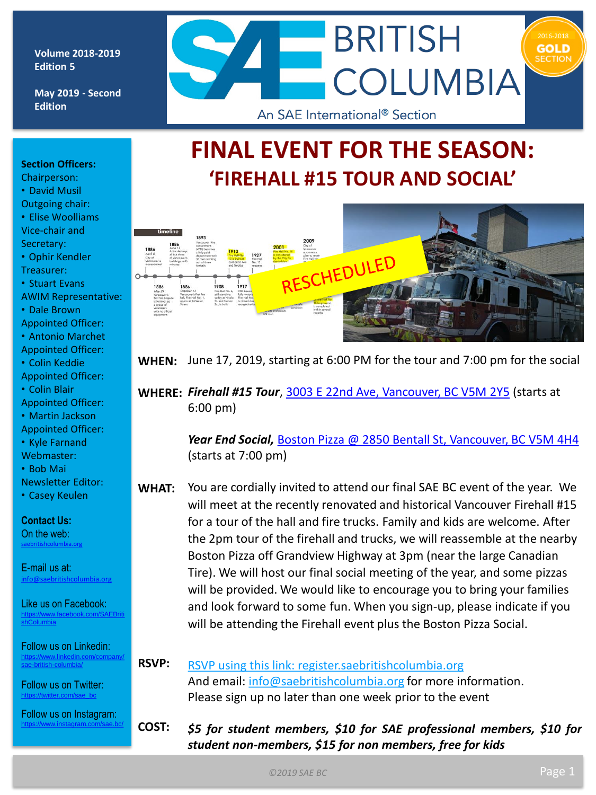#### **Volume 2018-2019 Edition 5**

**May 2019 - Second Edition** 



# **FINAL EVENT FOR THE SEASON: 'FIREHALL #15 TOUR AND SOCIAL'**



- Chairperson: • David Musil Outgoing chair:
- Elise Woolliams Vice-chair and Secretary:
- Ophir Kendler Treasurer:
- Stuart Evans
- AWIM Representative:
- Dale Brown
- Appointed Officer:
- Antonio Marchet
- Appointed Officer:
- Colin Keddie
- Appointed Officer:
- Colin Blair Appointed Officer:
- Martin Jackson
- Appointed Officer:
- Kyle Farnand
- Webmaster:
- Bob Mai
- Newsletter Editor:
- Casey Keulen

#### **Contact Us:** On the web: [saebritishcolumbia.org](http://www.britishcolumbia.sae.org)

E-mail us at: [info@saebritishcolumbia.org](mailto:info@saebritishcolumbia.org)

Like us on Facebook: [https://www.facebook.com/SAEBriti](https://www.facebook.com/SAEBritishColumbia) shColumbia

Follow us on Linkedin: [https://www.linkedin.com/company/](https://www.linkedin.com/company/sae-british-columbia/) sae-british-columbia/

Follow us on Twitter: ://twitter.com/sae\_bo

Follow us on Instagram: <https://www.instagram.com/sae.bc/>



**WHEN:** June 17, 2019, starting at 6:00 PM for the tour and 7:00 pm for the social

**WHERE:** *Firehall #15 Tour*, [3003 E 22nd Ave, Vancouver, BC V5M 2Y5](https://www.google.com/maps/place/3003+E+22nd+Ave,+Vancouver,+BC+V5M+2Y5/@49.2508855,-123.0434192,17z/data=!3m1!4b1!4m5!3m4!1s0x548676c7ebc67d2f:0x17b6ac637a2fdca4!8m2!3d49.2508855!4d-123.0412305) (starts at 6:00 pm)

> *Year End Social,* [Boston Pizza @ 2850 Bentall St, Vancouver, BC V5M 4H4](https://www.google.com/maps/place/2850+Bentall+St,+Vancouver,+BC+V5M+4H4/@49.2584746,-123.0328704,17z/data=!3m1!4b1!4m5!3m4!1s0x548676d1b5be7243:0x5edfdba56c3bdc9a!8m2!3d49.2584746!4d-123.0306817)  (starts at 7:00 pm)

- **WHAT:** You are cordially invited to attend our final SAE BC event of the year. We will meet at the recently renovated and historical Vancouver Firehall #15 for a tour of the hall and fire trucks. Family and kids are welcome. After the 2pm tour of the firehall and trucks, we will reassemble at the nearby Boston Pizza off Grandview Highway at 3pm (near the large Canadian Tire). We will host our final social meeting of the year, and some pizzas will be provided. We would like to encourage you to bring your families and look forward to some fun. When you sign-up, please indicate if you will be attending the Firehall event plus the Boston Pizza Social.
- **RSVP:** RSVP using this link: [register.saebritishcolumbia.org](http://register.saebritishcolumbia.org/) And email: [info@saebritishcolumbia.org](mailto:info@saebritishcolumbia.org) for more information. Please sign up no later than one week prior to the event

**COST:** *\$5 for student members, \$10 for SAE professional members, \$10 for student non-members, \$15 for non members, free for kids*

*©2019 SAE BC*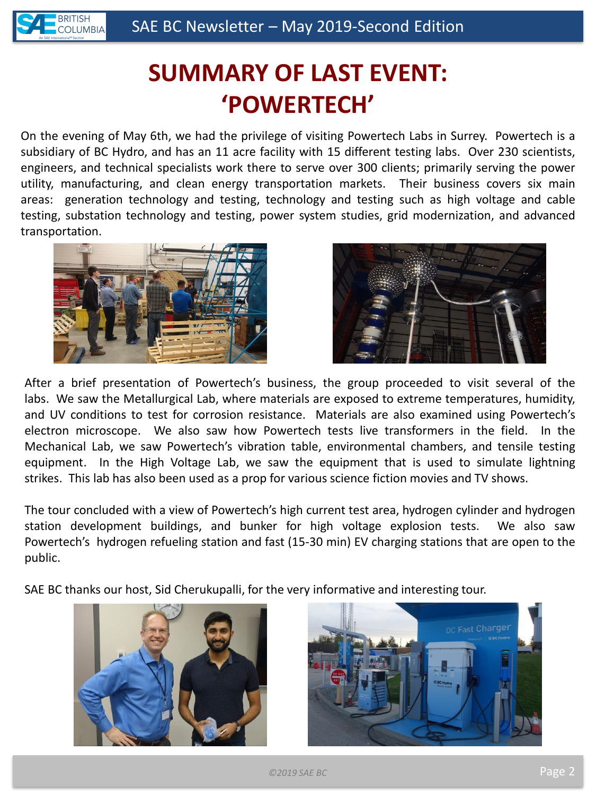

# **SUMMARY OF LAST EVENT: 'POWERTECH'**

On the evening of May 6th, we had the privilege of visiting Powertech Labs in Surrey. Powertech is a subsidiary of BC Hydro, and has an 11 acre facility with 15 different testing labs. Over 230 scientists, engineers, and technical specialists work there to serve over 300 clients; primarily serving the power utility, manufacturing, and clean energy transportation markets. Their business covers six main areas: generation technology and testing, technology and testing such as high voltage and cable testing, substation technology and testing, power system studies, grid modernization, and advanced transportation.





After a brief presentation of Powertech's business, the group proceeded to visit several of the labs. We saw the Metallurgical Lab, where materials are exposed to extreme temperatures, humidity, and UV conditions to test for corrosion resistance. Materials are also examined using Powertech's electron microscope. We also saw how Powertech tests live transformers in the field. In the Mechanical Lab, we saw Powertech's vibration table, environmental chambers, and tensile testing equipment. In the High Voltage Lab, we saw the equipment that is used to simulate lightning strikes. This lab has also been used as a prop for various science fiction movies and TV shows.

The tour concluded with a view of Powertech's high current test area, hydrogen cylinder and hydrogen station development buildings, and bunker for high voltage explosion tests. We also saw Powertech's hydrogen refueling station and fast (15-30 min) EV charging stations that are open to the public.

SAE BC thanks our host, Sid Cherukupalli, for the very informative and interesting tour.



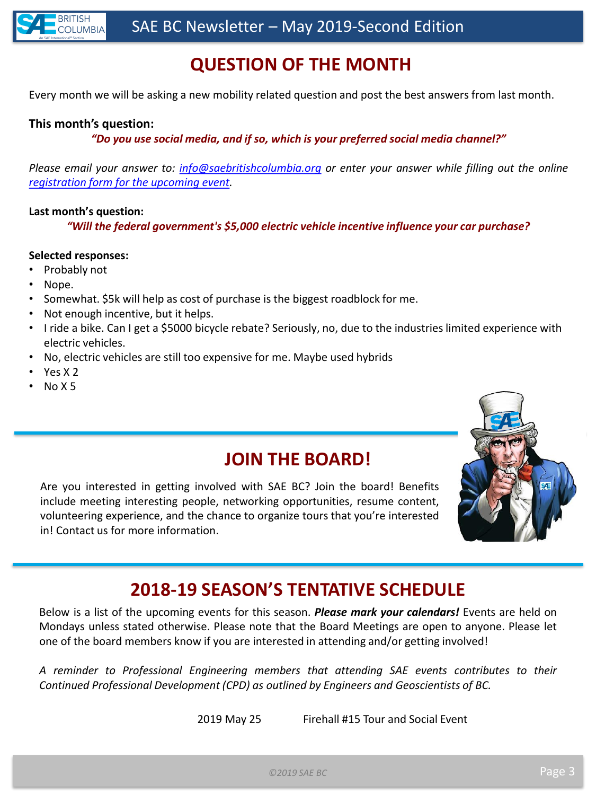

# **QUESTION OF THE MONTH**

Every month we will be asking a new mobility related question and post the best answers from last month.

#### **This month's question:**

*"Do you use social media, and if so, which is your preferred social media channel?"*

*Please email your answer to: [info@saebritishcolumbia.org](mailto:info@saebritishcolumbia.org) or enter your answer while filling out the online [registration](http://register.saebritishcolumbia.org/) form for the upcoming event.*

#### **Last month's question:**

*"Will the federal government's \$5,000 electric vehicle incentive influence your car purchase?*

#### **Selected responses:**

- Probably not
- Nope.
- Somewhat. \$5k will help as cost of purchase is the biggest roadblock for me.
- Not enough incentive, but it helps.
- I ride a bike. Can I get a \$5000 bicycle rebate? Seriously, no, due to the industries limited experience with electric vehicles.
- No, electric vehicles are still too expensive for me. Maybe used hybrids
- Yes X<sub>2</sub>
- No X 5

#### **JOIN THE BOARD!**

Are you interested in getting involved with SAE BC? Join the board! Benefits include meeting interesting people, networking opportunities, resume content, volunteering experience, and the chance to organize tours that you're interested in! Contact us for more information.



## **2018-19 SEASON'S TENTATIVE SCHEDULE**

Below is a list of the upcoming events for this season. *Please mark your calendars!* Events are held on Mondays unless stated otherwise. Please note that the Board Meetings are open to anyone. Please let one of the board members know if you are interested in attending and/or getting involved!

*A reminder to Professional Engineering members that attending SAE events contributes to their Continued Professional Development (CPD) as outlined by Engineers and Geoscientists of BC.*

2019 May 25 Firehall #15 Tour and Social Event